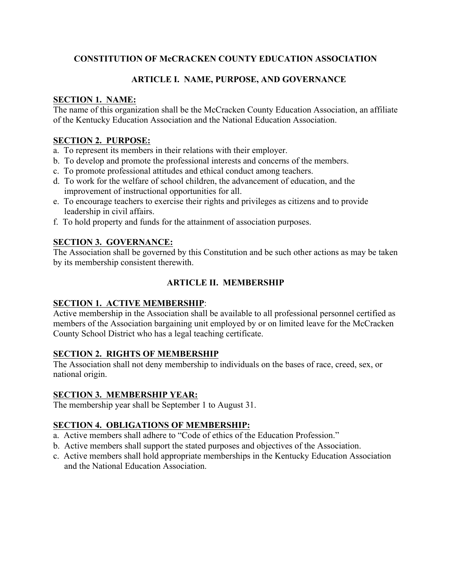# **CONSTITUTION OF McCRACKEN COUNTY EDUCATION ASSOCIATION**

## **ARTICLE I. NAME, PURPOSE, AND GOVERNANCE**

## **SECTION 1. NAME:**

The name of this organization shall be the McCracken County Education Association, an affiliate of the Kentucky Education Association and the National Education Association.

## **SECTION 2. PURPOSE:**

- a. To represent its members in their relations with their employer.
- b. To develop and promote the professional interests and concerns of the members.
- c. To promote professional attitudes and ethical conduct among teachers.
- d. To work for the welfare of school children, the advancement of education, and the improvement of instructional opportunities for all.
- e. To encourage teachers to exercise their rights and privileges as citizens and to provide leadership in civil affairs.
- f. To hold property and funds for the attainment of association purposes.

## **SECTION 3. GOVERNANCE:**

The Association shall be governed by this Constitution and be such other actions as may be taken by its membership consistent therewith.

## **ARTICLE II. MEMBERSHIP**

## **SECTION 1. ACTIVE MEMBERSHIP**:

Active membership in the Association shall be available to all professional personnel certified as members of the Association bargaining unit employed by or on limited leave for the McCracken County School District who has a legal teaching certificate.

## **SECTION 2. RIGHTS OF MEMBERSHIP**

The Association shall not deny membership to individuals on the bases of race, creed, sex, or national origin.

## **SECTION 3. MEMBERSHIP YEAR:**

The membership year shall be September 1 to August 31.

## **SECTION 4. OBLIGATIONS OF MEMBERSHIP:**

- a. Active members shall adhere to "Code of ethics of the Education Profession."
- b. Active members shall support the stated purposes and objectives of the Association.
- c. Active members shall hold appropriate memberships in the Kentucky Education Association and the National Education Association.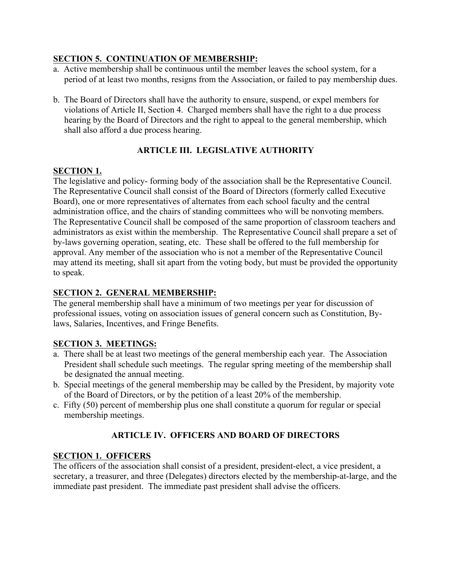## **SECTION 5. CONTINUATION OF MEMBERSHIP:**

- a. Active membership shall be continuous until the member leaves the school system, for a period of at least two months, resigns from the Association, or failed to pay membership dues.
- b. The Board of Directors shall have the authority to ensure, suspend, or expel members for violations of Article II, Section 4. Charged members shall have the right to a due process hearing by the Board of Directors and the right to appeal to the general membership, which shall also afford a due process hearing.

## **ARTICLE III. LEGISLATIVE AUTHORITY**

## **SECTION 1.**

The legislative and policy- forming body of the association shall be the Representative Council. The Representative Council shall consist of the Board of Directors (formerly called Executive Board), one or more representatives of alternates from each school faculty and the central administration office, and the chairs of standing committees who will be nonvoting members. The Representative Council shall be composed of the same proportion of classroom teachers and administrators as exist within the membership. The Representative Council shall prepare a set of by-laws governing operation, seating, etc. These shall be offered to the full membership for approval. Any member of the association who is not a member of the Representative Council may attend its meeting, shall sit apart from the voting body, but must be provided the opportunity to speak.

## **SECTION 2. GENERAL MEMBERSHIP:**

The general membership shall have a minimum of two meetings per year for discussion of professional issues, voting on association issues of general concern such as Constitution, Bylaws, Salaries, Incentives, and Fringe Benefits.

## **SECTION 3. MEETINGS:**

- a. There shall be at least two meetings of the general membership each year. The Association President shall schedule such meetings. The regular spring meeting of the membership shall be designated the annual meeting.
- b. Special meetings of the general membership may be called by the President, by majority vote of the Board of Directors, or by the petition of a least 20% of the membership.
- c. Fifty (50) percent of membership plus one shall constitute a quorum for regular or special membership meetings.

## **ARTICLE IV. OFFICERS AND BOARD OF DIRECTORS**

## **SECTION 1. OFFICERS**

The officers of the association shall consist of a president, president-elect, a vice president, a secretary, a treasurer, and three (Delegates) directors elected by the membership-at-large, and the immediate past president. The immediate past president shall advise the officers.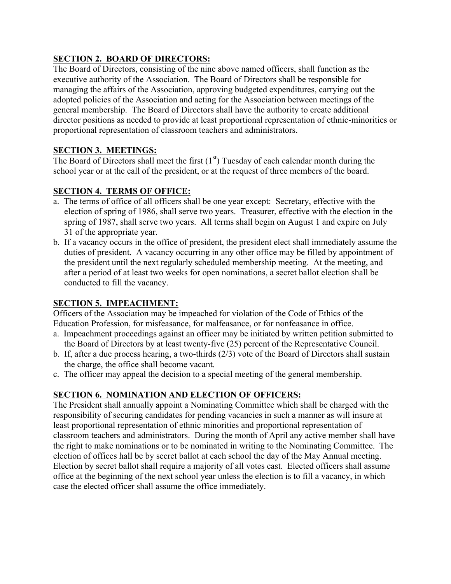# **SECTION 2. BOARD OF DIRECTORS:**

The Board of Directors, consisting of the nine above named officers, shall function as the executive authority of the Association. The Board of Directors shall be responsible for managing the affairs of the Association, approving budgeted expenditures, carrying out the adopted policies of the Association and acting for the Association between meetings of the general membership. The Board of Directors shall have the authority to create additional director positions as needed to provide at least proportional representation of ethnic-minorities or proportional representation of classroom teachers and administrators.

# **SECTION 3. MEETINGS:**

The Board of Directors shall meet the first  $(1<sup>st</sup>)$  Tuesday of each calendar month during the school year or at the call of the president, or at the request of three members of the board.

# **SECTION 4. TERMS OF OFFICE:**

- a. The terms of office of all officers shall be one year except: Secretary, effective with the election of spring of 1986, shall serve two years. Treasurer, effective with the election in the spring of 1987, shall serve two years. All terms shall begin on August 1 and expire on July 31 of the appropriate year.
- b. If a vacancy occurs in the office of president, the president elect shall immediately assume the duties of president. A vacancy occurring in any other office may be filled by appointment of the president until the next regularly scheduled membership meeting. At the meeting, and after a period of at least two weeks for open nominations, a secret ballot election shall be conducted to fill the vacancy.

## **SECTION 5. IMPEACHMENT:**

Officers of the Association may be impeached for violation of the Code of Ethics of the Education Profession, for misfeasance, for malfeasance, or for nonfeasance in office.

- a. Impeachment proceedings against an officer may be initiated by written petition submitted to the Board of Directors by at least twenty-five (25) percent of the Representative Council.
- b. If, after a due process hearing, a two-thirds (2/3) vote of the Board of Directors shall sustain the charge, the office shall become vacant.
- c. The officer may appeal the decision to a special meeting of the general membership.

## **SECTION 6. NOMINATION AND ELECTION OF OFFICERS:**

The President shall annually appoint a Nominating Committee which shall be charged with the responsibility of securing candidates for pending vacancies in such a manner as will insure at least proportional representation of ethnic minorities and proportional representation of classroom teachers and administrators. During the month of April any active member shall have the right to make nominations or to be nominated in writing to the Nominating Committee. The election of offices hall be by secret ballot at each school the day of the May Annual meeting. Election by secret ballot shall require a majority of all votes cast. Elected officers shall assume office at the beginning of the next school year unless the election is to fill a vacancy, in which case the elected officer shall assume the office immediately.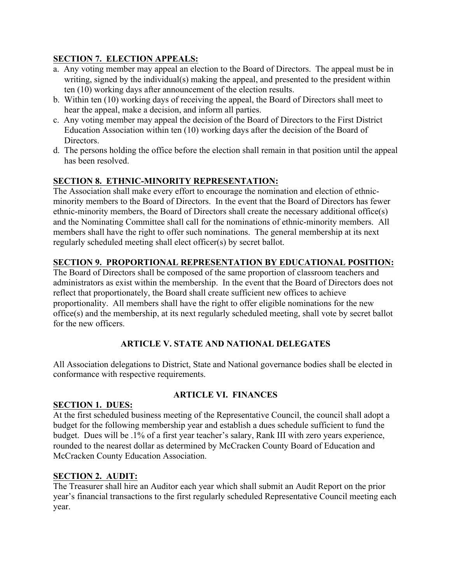# **SECTION 7. ELECTION APPEALS:**

- a. Any voting member may appeal an election to the Board of Directors. The appeal must be in writing, signed by the individual(s) making the appeal, and presented to the president within ten (10) working days after announcement of the election results.
- b. Within ten (10) working days of receiving the appeal, the Board of Directors shall meet to hear the appeal, make a decision, and inform all parties.
- c. Any voting member may appeal the decision of the Board of Directors to the First District Education Association within ten (10) working days after the decision of the Board of **Directors**
- d. The persons holding the office before the election shall remain in that position until the appeal has been resolved.

## **SECTION 8. ETHNIC-MINORITY REPRESENTATION:**

The Association shall make every effort to encourage the nomination and election of ethnicminority members to the Board of Directors. In the event that the Board of Directors has fewer ethnic-minority members, the Board of Directors shall create the necessary additional office(s) and the Nominating Committee shall call for the nominations of ethnic-minority members. All members shall have the right to offer such nominations. The general membership at its next regularly scheduled meeting shall elect officer(s) by secret ballot.

## **SECTION 9. PROPORTIONAL REPRESENTATION BY EDUCATIONAL POSITION:**

The Board of Directors shall be composed of the same proportion of classroom teachers and administrators as exist within the membership. In the event that the Board of Directors does not reflect that proportionately, the Board shall create sufficient new offices to achieve proportionality. All members shall have the right to offer eligible nominations for the new office(s) and the membership, at its next regularly scheduled meeting, shall vote by secret ballot for the new officers.

## **ARTICLE V. STATE AND NATIONAL DELEGATES**

All Association delegations to District, State and National governance bodies shall be elected in conformance with respective requirements.

## **SECTION 1. DUES:**

## **ARTICLE VI. FINANCES**

At the first scheduled business meeting of the Representative Council, the council shall adopt a budget for the following membership year and establish a dues schedule sufficient to fund the budget. Dues will be .1% of a first year teacher's salary, Rank III with zero years experience, rounded to the nearest dollar as determined by McCracken County Board of Education and McCracken County Education Association.

## **SECTION 2. AUDIT:**

The Treasurer shall hire an Auditor each year which shall submit an Audit Report on the prior year's financial transactions to the first regularly scheduled Representative Council meeting each year.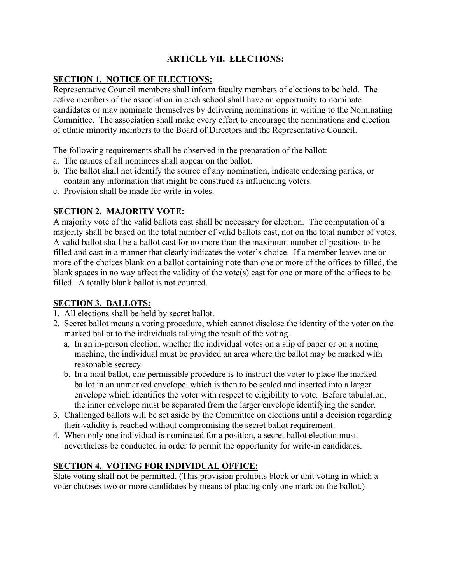## **ARTICLE VII. ELECTIONS:**

## **SECTION 1. NOTICE OF ELECTIONS:**

Representative Council members shall inform faculty members of elections to be held. The active members of the association in each school shall have an opportunity to nominate candidates or may nominate themselves by delivering nominations in writing to the Nominating Committee. The association shall make every effort to encourage the nominations and election of ethnic minority members to the Board of Directors and the Representative Council.

The following requirements shall be observed in the preparation of the ballot:

- a. The names of all nominees shall appear on the ballot.
- b. The ballot shall not identify the source of any nomination, indicate endorsing parties, or contain any information that might be construed as influencing voters.
- c. Provision shall be made for write-in votes.

## **SECTION 2. MAJORITY VOTE:**

A majority vote of the valid ballots cast shall be necessary for election. The computation of a majority shall be based on the total number of valid ballots cast, not on the total number of votes. A valid ballot shall be a ballot cast for no more than the maximum number of positions to be filled and cast in a manner that clearly indicates the voter's choice. If a member leaves one or more of the choices blank on a ballot containing note than one or more of the offices to filled, the blank spaces in no way affect the validity of the vote(s) cast for one or more of the offices to be filled. A totally blank ballot is not counted.

## **SECTION 3. BALLOTS:**

- 1. All elections shall be held by secret ballot.
- 2. Secret ballot means a voting procedure, which cannot disclose the identity of the voter on the marked ballot to the individuals tallying the result of the voting.
	- a. In an in-person election, whether the individual votes on a slip of paper or on a noting machine, the individual must be provided an area where the ballot may be marked with reasonable secrecy.
	- b. In a mail ballot, one permissible procedure is to instruct the voter to place the marked ballot in an unmarked envelope, which is then to be sealed and inserted into a larger envelope which identifies the voter with respect to eligibility to vote. Before tabulation, the inner envelope must be separated from the larger envelope identifying the sender.
- 3. Challenged ballots will be set aside by the Committee on elections until a decision regarding their validity is reached without compromising the secret ballot requirement.
- 4. When only one individual is nominated for a position, a secret ballot election must nevertheless be conducted in order to permit the opportunity for write-in candidates.

## **SECTION 4. VOTING FOR INDIVIDUAL OFFICE:**

Slate voting shall not be permitted. (This provision prohibits block or unit voting in which a voter chooses two or more candidates by means of placing only one mark on the ballot.)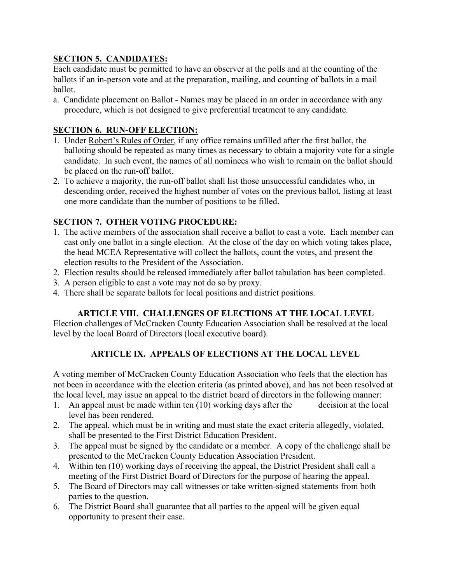## **SECTION 5. CANDIDATES:**

Each candidate must be permitted to have an observer at the polls and at the counting of the ballots if an in-person vote and at the preparation, mailing, and counting of ballots in a mail ballot.

a. Candidate placement on Ballot - Names may be placed in an order in accordance with any procedure, which is not designed to give preferential treatment to any candidate.

# **SECTION 6. RUN-OFF ELECTION:**

- 1. Under Robert's Rules of Order, if any office remains unfilled after the first ballot, the balloting should be repeated as many times as necessary to obtain a majority vote for a single candidate. In such event, the names of all nominees who wish to remain on the ballot should be placed on the run-off ballot.
- 2. To achieve a majority, the run-off ballot shall list those unsuccessful candidates who, in descending order, received the highest number of votes on the previous ballot, listing at least one more candidate than the number of positions to be filled.

# **SECTION 7. OTHER VOTING PROCEDURE:**

- 1. The active members of the association shall receive a ballot to cast a vote. Each member can cast only one ballot in a single election. At the close of the day on which voting takes place, the head MCEA Representative will collect the ballots, count the votes, and present the election results to the President of the Association.
- 2. Election results should be released immediately after ballot tabulation has been completed.
- 3. A person eligible to cast a vote may not do so by proxy.
- 4. There shall be separate ballots for local positions and district positions.

## **ARTICLE VIII. CHALLENGES OF ELECTIONS AT THE LOCAL LEVEL**

Election challenges of McCracken County Education Association shall be resolved at the local level by the local Board of Directors (local executive board).

## **ARTICLE IX. APPEALS OF ELECTIONS AT THE LOCAL LEVEL**

A voting member of McCracken County Education Association who feels that the election has not been in accordance with the election criteria (as printed above), and has not been resolved at the local level, may issue an appeal to the district board of directors in the following manner:

- 1. An appeal must be made within ten (10) working days after the decision at the local level has been rendered.
- 2. The appeal, which must be in writing and must state the exact criteria allegedly, violated, shall be presented to the First District Education President.
- 3. The appeal must be signed by the candidate or a member. A copy of the challenge shall be presented to the McCracken County Education Association President.
- 4. Within ten (10) working days of receiving the appeal, the District President shall call a meeting of the First District Board of Directors for the purpose of hearing the appeal.
- 5. The Board of Directors may call witnesses or take written-signed statements from both parties to the question.
- 6. The District Board shall guarantee that all parties to the appeal will be given equal opportunity to present their case.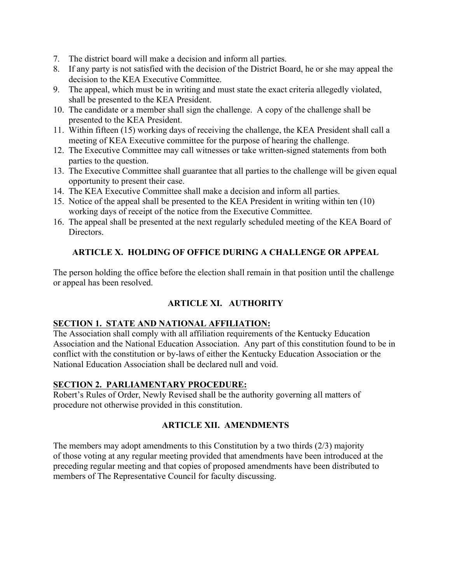- 7. The district board will make a decision and inform all parties.
- 8. If any party is not satisfied with the decision of the District Board, he or she may appeal the decision to the KEA Executive Committee.
- 9. The appeal, which must be in writing and must state the exact criteria allegedly violated, shall be presented to the KEA President.
- 10. The candidate or a member shall sign the challenge. A copy of the challenge shall be presented to the KEA President.
- 11. Within fifteen (15) working days of receiving the challenge, the KEA President shall call a meeting of KEA Executive committee for the purpose of hearing the challenge.
- 12. The Executive Committee may call witnesses or take written-signed statements from both parties to the question.
- 13. The Executive Committee shall guarantee that all parties to the challenge will be given equal opportunity to present their case.
- 14. The KEA Executive Committee shall make a decision and inform all parties.
- 15. Notice of the appeal shall be presented to the KEA President in writing within ten (10) working days of receipt of the notice from the Executive Committee.
- 16. The appeal shall be presented at the next regularly scheduled meeting of the KEA Board of Directors.

# **ARTICLE X. HOLDING OF OFFICE DURING A CHALLENGE OR APPEAL**

The person holding the office before the election shall remain in that position until the challenge or appeal has been resolved.

# **ARTICLE XI. AUTHORITY**

## **SECTION 1. STATE AND NATIONAL AFFILIATION:**

The Association shall comply with all affiliation requirements of the Kentucky Education Association and the National Education Association. Any part of this constitution found to be in conflict with the constitution or by-laws of either the Kentucky Education Association or the National Education Association shall be declared null and void.

## **SECTION 2. PARLIAMENTARY PROCEDURE:**

Robert's Rules of Order, Newly Revised shall be the authority governing all matters of procedure not otherwise provided in this constitution.

## **ARTICLE XII. AMENDMENTS**

The members may adopt amendments to this Constitution by a two thirds  $(2/3)$  majority of those voting at any regular meeting provided that amendments have been introduced at the preceding regular meeting and that copies of proposed amendments have been distributed to members of The Representative Council for faculty discussing.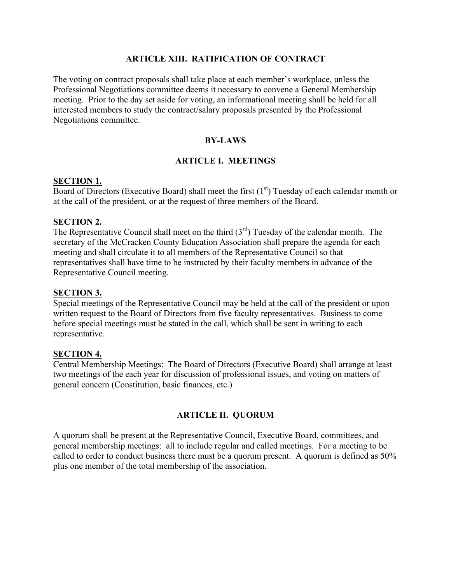### **ARTICLE XIII. RATIFICATION OF CONTRACT**

The voting on contract proposals shall take place at each member's workplace, unless the Professional Negotiations committee deems it necessary to convene a General Membership meeting. Prior to the day set aside for voting, an informational meeting shall be held for all interested members to study the contract/salary proposals presented by the Professional Negotiations committee.

#### **BY-LAWS**

#### **ARTICLE I. MEETINGS**

#### **SECTION 1.**

Board of Directors (Executive Board) shall meet the first  $(1<sup>st</sup>)$  Tuesday of each calendar month or at the call of the president, or at the request of three members of the Board.

#### **SECTION 2.**

The Representative Council shall meet on the third  $(3<sup>rd</sup>)$  Tuesday of the calendar month. The secretary of the McCracken County Education Association shall prepare the agenda for each meeting and shall circulate it to all members of the Representative Council so that representatives shall have time to be instructed by their faculty members in advance of the Representative Council meeting.

#### **SECTION 3.**

Special meetings of the Representative Council may be held at the call of the president or upon written request to the Board of Directors from five faculty representatives. Business to come before special meetings must be stated in the call, which shall be sent in writing to each representative.

#### **SECTION 4.**

Central Membership Meetings: The Board of Directors (Executive Board) shall arrange at least two meetings of the each year for discussion of professional issues, and voting on matters of general concern (Constitution, basic finances, etc.)

#### **ARTICLE II. QUORUM**

A quorum shall be present at the Representative Council, Executive Board, committees, and general membership meetings: all to include regular and called meetings. For a meeting to be called to order to conduct business there must be a quorum present. A quorum is defined as 50% plus one member of the total membership of the association.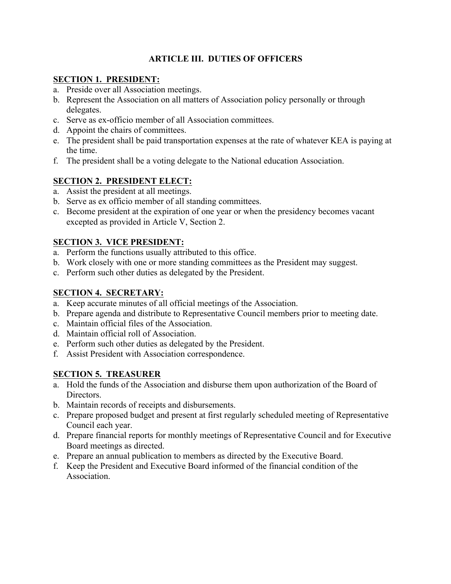## **ARTICLE III. DUTIES OF OFFICERS**

## **SECTION 1. PRESIDENT:**

- a. Preside over all Association meetings.
- b. Represent the Association on all matters of Association policy personally or through delegates.
- c. Serve as ex-officio member of all Association committees.
- d. Appoint the chairs of committees.
- e. The president shall be paid transportation expenses at the rate of whatever KEA is paying at the time.
- f. The president shall be a voting delegate to the National education Association.

## **SECTION 2. PRESIDENT ELECT:**

- a. Assist the president at all meetings.
- b. Serve as ex officio member of all standing committees.
- c. Become president at the expiration of one year or when the presidency becomes vacant excepted as provided in Article V, Section 2.

## **SECTION 3. VICE PRESIDENT:**

- a. Perform the functions usually attributed to this office.
- b. Work closely with one or more standing committees as the President may suggest.
- c. Perform such other duties as delegated by the President.

## **SECTION 4. SECRETARY:**

- a. Keep accurate minutes of all official meetings of the Association.
- b. Prepare agenda and distribute to Representative Council members prior to meeting date.
- c. Maintain official files of the Association.
- d. Maintain official roll of Association.
- e. Perform such other duties as delegated by the President.
- f. Assist President with Association correspondence.

## **SECTION 5. TREASURER**

- a. Hold the funds of the Association and disburse them upon authorization of the Board of **Directors**
- b. Maintain records of receipts and disbursements.
- c. Prepare proposed budget and present at first regularly scheduled meeting of Representative Council each year.
- d. Prepare financial reports for monthly meetings of Representative Council and for Executive Board meetings as directed.
- e. Prepare an annual publication to members as directed by the Executive Board.
- f. Keep the President and Executive Board informed of the financial condition of the **Association**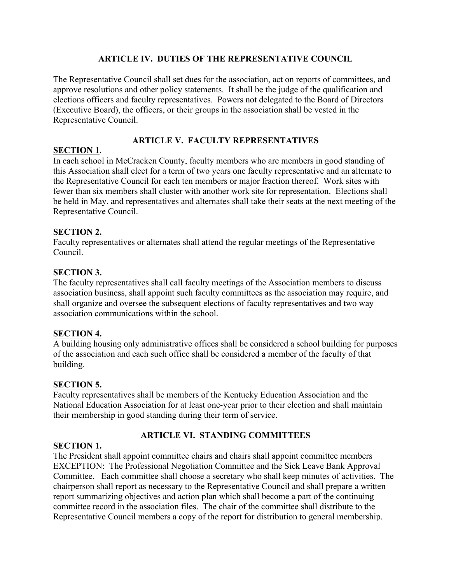## **ARTICLE IV. DUTIES OF THE REPRESENTATIVE COUNCIL**

The Representative Council shall set dues for the association, act on reports of committees, and approve resolutions and other policy statements. It shall be the judge of the qualification and elections officers and faculty representatives. Powers not delegated to the Board of Directors (Executive Board), the officers, or their groups in the association shall be vested in the Representative Council.

# **ARTICLE V. FACULTY REPRESENTATIVES**

## **SECTION 1**.

In each school in McCracken County, faculty members who are members in good standing of this Association shall elect for a term of two years one faculty representative and an alternate to the Representative Council for each ten members or major fraction thereof. Work sites with fewer than six members shall cluster with another work site for representation. Elections shall be held in May, and representatives and alternates shall take their seats at the next meeting of the Representative Council.

## **SECTION 2.**

Faculty representatives or alternates shall attend the regular meetings of the Representative Council.

## **SECTION 3.**

The faculty representatives shall call faculty meetings of the Association members to discuss association business, shall appoint such faculty committees as the association may require, and shall organize and oversee the subsequent elections of faculty representatives and two way association communications within the school.

## **SECTION 4.**

A building housing only administrative offices shall be considered a school building for purposes of the association and each such office shall be considered a member of the faculty of that building.

## **SECTION 5.**

Faculty representatives shall be members of the Kentucky Education Association and the National Education Association for at least one-year prior to their election and shall maintain their membership in good standing during their term of service.

## **ARTICLE VI. STANDING COMMITTEES**

## **SECTION 1.**

The President shall appoint committee chairs and chairs shall appoint committee members EXCEPTION: The Professional Negotiation Committee and the Sick Leave Bank Approval Committee. Each committee shall choose a secretary who shall keep minutes of activities. The chairperson shall report as necessary to the Representative Council and shall prepare a written report summarizing objectives and action plan which shall become a part of the continuing committee record in the association files. The chair of the committee shall distribute to the Representative Council members a copy of the report for distribution to general membership.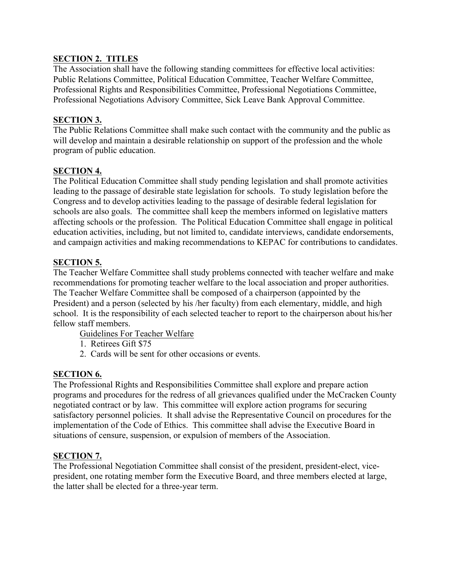## **SECTION 2. TITLES**

The Association shall have the following standing committees for effective local activities: Public Relations Committee, Political Education Committee, Teacher Welfare Committee, Professional Rights and Responsibilities Committee, Professional Negotiations Committee, Professional Negotiations Advisory Committee, Sick Leave Bank Approval Committee.

## **SECTION 3.**

The Public Relations Committee shall make such contact with the community and the public as will develop and maintain a desirable relationship on support of the profession and the whole program of public education.

## **SECTION 4.**

The Political Education Committee shall study pending legislation and shall promote activities leading to the passage of desirable state legislation for schools. To study legislation before the Congress and to develop activities leading to the passage of desirable federal legislation for schools are also goals. The committee shall keep the members informed on legislative matters affecting schools or the profession. The Political Education Committee shall engage in political education activities, including, but not limited to, candidate interviews, candidate endorsements, and campaign activities and making recommendations to KEPAC for contributions to candidates.

## **SECTION 5.**

The Teacher Welfare Committee shall study problems connected with teacher welfare and make recommendations for promoting teacher welfare to the local association and proper authorities. The Teacher Welfare Committee shall be composed of a chairperson (appointed by the President) and a person (selected by his /her faculty) from each elementary, middle, and high school. It is the responsibility of each selected teacher to report to the chairperson about his/her fellow staff members.

Guidelines For Teacher Welfare

- 1. Retirees Gift \$75
- 2. Cards will be sent for other occasions or events.

## **SECTION 6.**

The Professional Rights and Responsibilities Committee shall explore and prepare action programs and procedures for the redress of all grievances qualified under the McCracken County negotiated contract or by law. This committee will explore action programs for securing satisfactory personnel policies. It shall advise the Representative Council on procedures for the implementation of the Code of Ethics. This committee shall advise the Executive Board in situations of censure, suspension, or expulsion of members of the Association.

## **SECTION 7.**

The Professional Negotiation Committee shall consist of the president, president-elect, vicepresident, one rotating member form the Executive Board, and three members elected at large, the latter shall be elected for a three-year term.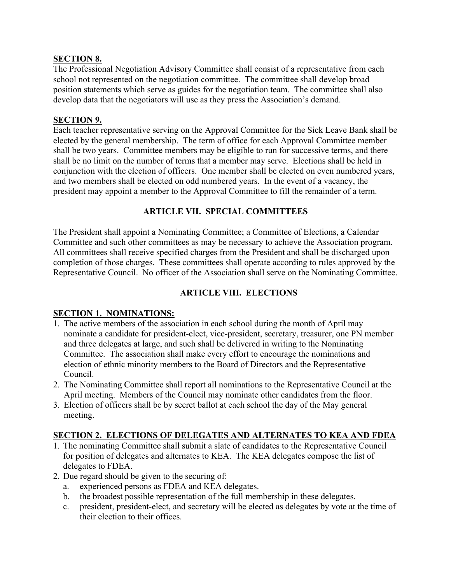## **SECTION 8.**

The Professional Negotiation Advisory Committee shall consist of a representative from each school not represented on the negotiation committee. The committee shall develop broad position statements which serve as guides for the negotiation team. The committee shall also develop data that the negotiators will use as they press the Association's demand.

## **SECTION 9.**

Each teacher representative serving on the Approval Committee for the Sick Leave Bank shall be elected by the general membership. The term of office for each Approval Committee member shall be two years. Committee members may be eligible to run for successive terms, and there shall be no limit on the number of terms that a member may serve. Elections shall be held in conjunction with the election of officers. One member shall be elected on even numbered years, and two members shall be elected on odd numbered years. In the event of a vacancy, the president may appoint a member to the Approval Committee to fill the remainder of a term.

## **ARTICLE VII. SPECIAL COMMITTEES**

The President shall appoint a Nominating Committee; a Committee of Elections, a Calendar Committee and such other committees as may be necessary to achieve the Association program. All committees shall receive specified charges from the President and shall be discharged upon completion of those charges. These committees shall operate according to rules approved by the Representative Council. No officer of the Association shall serve on the Nominating Committee.

## **ARTICLE VIII. ELECTIONS**

## **SECTION 1. NOMINATIONS:**

- 1. The active members of the association in each school during the month of April may nominate a candidate for president-elect, vice-president, secretary, treasurer, one PN member and three delegates at large, and such shall be delivered in writing to the Nominating Committee. The association shall make every effort to encourage the nominations and election of ethnic minority members to the Board of Directors and the Representative Council.
- 2. The Nominating Committee shall report all nominations to the Representative Council at the April meeting. Members of the Council may nominate other candidates from the floor.
- 3. Election of officers shall be by secret ballot at each school the day of the May general meeting.

## **SECTION 2. ELECTIONS OF DELEGATES AND ALTERNATES TO KEA AND FDEA**

- 1. The nominating Committee shall submit a slate of candidates to the Representative Council for position of delegates and alternates to KEA. The KEA delegates compose the list of delegates to FDEA.
- 2. Due regard should be given to the securing of:
	- a. experienced persons as FDEA and KEA delegates.
	- b. the broadest possible representation of the full membership in these delegates.
	- c. president, president-elect, and secretary will be elected as delegates by vote at the time of their election to their offices.